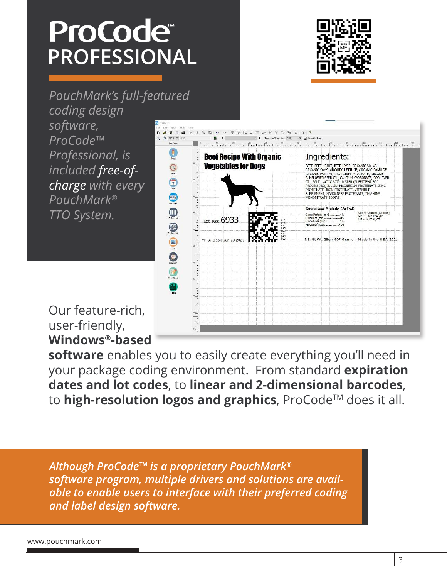# ProCode<sup>®</sup> **PROFESSIONAL**



*PouchMark's full-featured* 

*coding design software, ProCode™ Professional, is included free-ofcharge with every PouchMark® TTO System.* 



Our feature-rich, user-friendly, **Windows®-based** 

**software** enables you to easily create everything you'll need in your package coding environment. From standard **expiration dates and lot codes**, to **linear and 2-dimensional barcodes**, to **high-resolution logos and graphics**, ProCode<sup>™</sup> does it all.

*Although ProCode™ is a proprietary PouchMark® software program, multiple drivers and solutions are available to enable users to interface with their preferred coding and label design software.*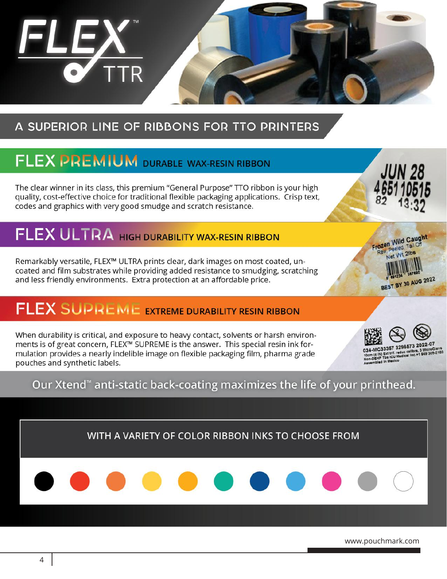

## A SUPERIOR LINE OF RIBBONS FOR TTO PRINTERS

# FLEX PREMIUM DURABLE WAX-RESIN RIBBON

The clear winner in its class, this premium "General Purpose" TTO ribbon is your high quality, cost-effective choice for traditional flexible packaging applications. Crisp text, codes and graphics with very good smudge and scratch resistance.

# FLEX ULTRA HIGH DURABILITY WAX-RESIN RIBBON

Remarkably versatile, FLEX™ ULTRA prints clear, dark images on most coated, uncoated and film substrates while providing added resistance to smudging, scratching and less friendly environments. Extra protection at an affordable price.

## FLEX SUPREME EXTREME DURABILITY RESIN RIBBON

When durability is critical, and exposure to heavy contact, solvents or harsh environments is of great concern, FLEX™ SUPREME is the answer. This special resin ink formulation provides a nearly indelible image on flexible packaging film, pharma grade pouches and synthetic labels.



C33357 3296573 2022-07 (4 IN) Ext trif. reduc calibre. 3 MicroClave<br>VEHP Tbs ICU Medical Inc.+1 949 366-2183

JUN 28

Frozen Wild Caught Raw, Peeled, Tail O Net Wt 2lbs

**BEST BY 30 AUG 2022** 

Our Xtend<sup>®</sup> anti-static back-coating maximizes the life of your printhead.

WITH A VARIETY OF COLOR RIBBON INKS TO CHOOSE FROM



www.pak-tec.com